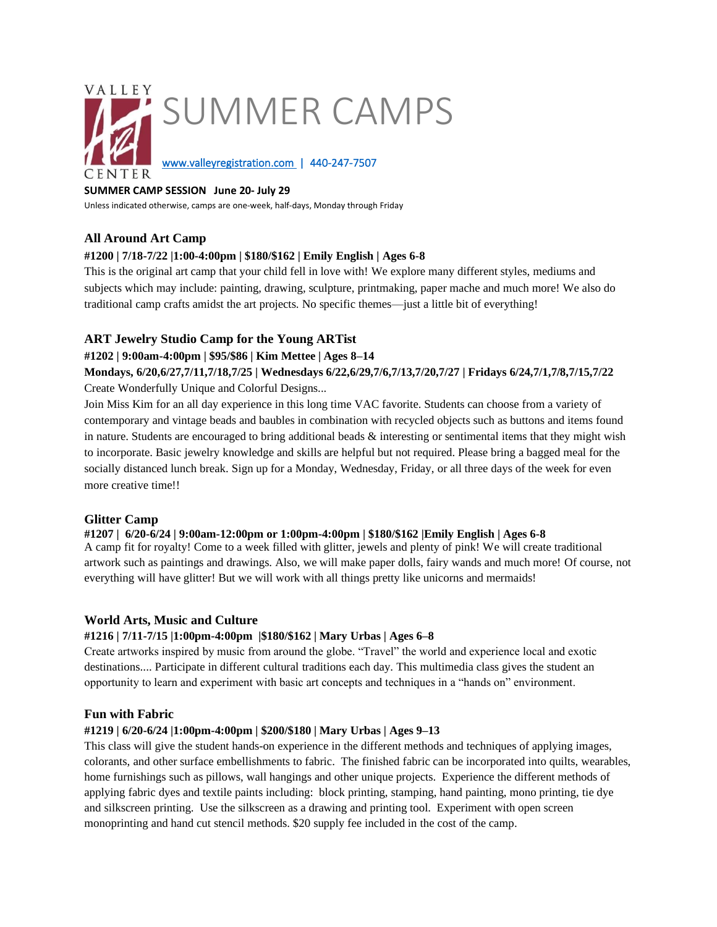

# **SUMMER CAMP SESSION June 20- July 29**

Unless indicated otherwise, camps are one-week, half-days, Monday through Friday

## **All Around Art Camp**

## **#1200 | 7/18-7/22 |1:00-4:00pm | \$180/\$162 | Emily English | Ages 6-8**

This is the original art camp that your child fell in love with! We explore many different styles, mediums and subjects which may include: painting, drawing, sculpture, printmaking, paper mache and much more! We also do traditional camp crafts amidst the art projects. No specific themes—just a little bit of everything!

## **ART Jewelry Studio Camp for the Young ARTist**

## **#1202 | 9:00am-4:00pm | \$95/\$86 | Kim Mettee | Ages 8–14**

**Mondays, 6/20,6/27,7/11,7/18,7/25 | Wednesdays 6/22,6/29,7/6,7/13,7/20,7/27 | Fridays 6/24,7/1,7/8,7/15,7/22**  Create Wonderfully Unique and Colorful Designs...

Join Miss Kim for an all day experience in this long time VAC favorite. Students can choose from a variety of contemporary and vintage beads and baubles in combination with recycled objects such as buttons and items found in nature. Students are encouraged to bring additional beads & interesting or sentimental items that they might wish to incorporate. Basic jewelry knowledge and skills are helpful but not required. Please bring a bagged meal for the socially distanced lunch break. Sign up for a Monday, Wednesday, Friday, or all three days of the week for even more creative time!!

## **Glitter Camp**

#### **#1207 | 6/20-6/24 | 9:00am-12:00pm or 1:00pm-4:00pm | \$180/\$162 |Emily English | Ages 6-8**

A camp fit for royalty! Come to a week filled with glitter, jewels and plenty of pink! We will create traditional artwork such as paintings and drawings. Also, we will make paper dolls, fairy wands and much more! Of course, not everything will have glitter! But we will work with all things pretty like unicorns and mermaids!

#### **World Arts, Music and Culture**

#### **#1216 | 7/11-7/15 |1:00pm-4:00pm |\$180/\$162 | Mary Urbas | Ages 6–8**

Create artworks inspired by music from around the globe. "Travel" the world and experience local and exotic destinations.... Participate in different cultural traditions each day. This multimedia class gives the student an opportunity to learn and experiment with basic art concepts and techniques in a "hands on" environment.

## **Fun with Fabric**

## **#1219 | 6/20-6/24 |1:00pm-4:00pm | \$200/\$180 | Mary Urbas | Ages 9–13**

This class will give the student hands-on experience in the different methods and techniques of applying images, colorants, and other surface embellishments to fabric. The finished fabric can be incorporated into quilts, wearables, home furnishings such as pillows, wall hangings and other unique projects. Experience the different methods of applying fabric dyes and textile paints including: block printing, stamping, hand painting, mono printing, tie dye and silkscreen printing. Use the silkscreen as a drawing and printing tool. Experiment with open screen monoprinting and hand cut stencil methods. \$20 supply fee included in the cost of the camp.